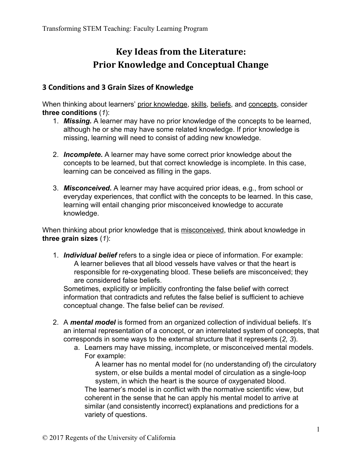## **Key Ideas from the Literature: Prior Knowledge and Conceptual Change**

## **3 Conditions and 3 Grain Sizes of Knowledge**

When thinking about learners' prior knowledge, skills, beliefs, and concepts, consider **three conditions** (*1*):

- 1. *Missing.* A learner may have no prior knowledge of the concepts to be learned, although he or she may have some related knowledge. If prior knowledge is missing, learning will need to consist of adding new knowledge.
- 2. *Incomplete***.** A learner may have some correct prior knowledge about the concepts to be learned, but that correct knowledge is incomplete. In this case, learning can be conceived as filling in the gaps.
- 3. *Misconceived***.** A learner may have acquired prior ideas, e.g., from school or everyday experiences, that conflict with the concepts to be learned. In this case, learning will entail changing prior misconceived knowledge to accurate knowledge.

When thinking about prior knowledge that is misconceived, think about knowledge in **three grain sizes** (*1*):

1. *Individual belief* refers to a single idea or piece of information. For example: A learner believes that all blood vessels have valves or that the heart is responsible for re-oxygenating blood. These beliefs are misconceived; they are considered false beliefs.

Sometimes, explicitly or implicitly confronting the false belief with correct information that contradicts and refutes the false belief is sufficient to achieve conceptual change. The false belief can be *revised*.

- 2. A *mental model* is formed from an organized collection of individual beliefs. It's an internal representation of a concept, or an interrelated system of concepts, that corresponds in some ways to the external structure that it represents (*2, 3*).
	- a. Learners may have missing, incomplete, or misconceived mental models. For example:

A learner has no mental model for (no understanding of) the circulatory system, or else builds a mental model of circulation as a single-loop system, in which the heart is the source of oxygenated blood. The learner's model is in conflict with the normative scientific view, but coherent in the sense that he can apply his mental model to arrive at similar (and consistently incorrect) explanations and predictions for a variety of questions.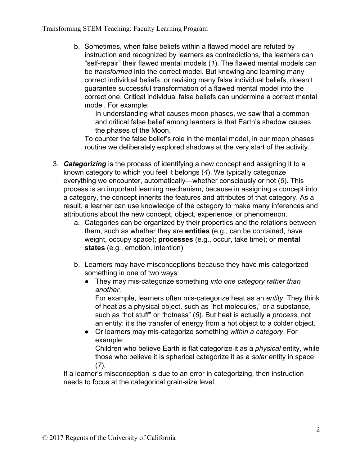Transforming STEM Teaching: Faculty Learning Program

b. Sometimes, when false beliefs within a flawed model are refuted by instruction and recognized by learners as contradictions, the learners can "self-repair" their flawed mental models (*1*). The flawed mental models can be *transformed* into the correct model. But knowing and learning many correct individual beliefs, or revising many false individual beliefs, doesn't guarantee successful transformation of a flawed mental model into the correct one. Critical individual false beliefs can undermine a correct mental model. For example:

In understanding what causes moon phases, we saw that a common and critical false belief among learners is that Earth's shadow causes the phases of the Moon.

To counter the false belief's role in the mental model, in our moon phases routine we deliberately explored shadows at the very start of the activity.

- 3. *Categorizing* is the process of identifying a new concept and assigning it to a known category to which you feel it belongs (*4*). We typically categorize everything we encounter, automatically—whether consciously or not (*5*). This process is an important learning mechanism, because in assigning a concept into a category, the concept inherits the features and attributes of that category. As a result, a learner can use knowledge of the category to make many inferences and attributions about the new concept, object, experience, or phenomenon.
	- a. Categories can be organized by their properties and the relations between them, such as whether they are **entities** (e.g., can be contained, have weight, occupy space); **processes** (e.g., occur, take time); or **mental states** (e.g., emotion, intention).
	- b. Learners may have misconceptions because they have mis-categorized something in one of two ways:
		- They may mis-categorize something *into one category rather than another*.

For example, learners often mis-categorize heat as an *entity*. They think of heat as a physical object, such as "hot molecules," or a substance, such as "hot stuff" or "hotness" (*6*). But heat is actually a *process*, not an entity: it's the transfer of energy from a hot object to a colder object.

● Or learners may mis-categorize something *within a category*. For example:

Children who believe Earth is flat categorize it as a *physical* entity, while those who believe it is spherical categorize it as a *solar* entity in space (*7*).

If a learner's misconception is due to an error in categorizing, then instruction needs to focus at the categorical grain-size level.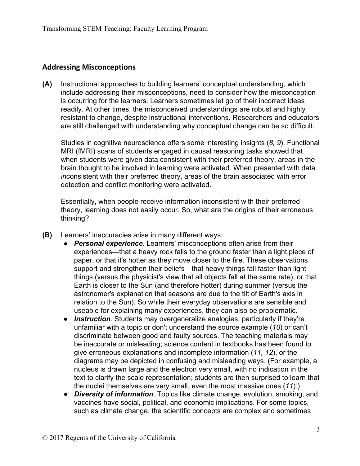## **Addressing Misconceptions**

**(A)** Instructional approaches to building learners' conceptual understanding, which include addressing their misconceptions, need to consider how the misconception is occurring for the learners. Learners sometimes let go of their incorrect ideas readily. At other times, the misconceived understandings are robust and highly resistant to change, despite instructional interventions. Researchers and educators are still challenged with understanding why conceptual change can be so difficult.

Studies in cognitive neuroscience offers some interesting insights (*8, 9*). Functional MRI (fMRI) scans of students engaged in causal reasoning tasks showed that when students were given data consistent with their preferred theory, areas in the brain thought to be involved in learning were activated. When presented with data *in*consistent with their preferred theory, areas of the brain associated with error detection and conflict monitoring were activated.

Essentially, when people receive information inconsistent with their preferred theory, learning does not easily occur. So, what are the origins of their erroneous thinking?

- **(B)** Learners' inaccuracies arise in many different ways:
	- *Personal experience*. Learners' misconceptions often arise from their experiences—that a heavy rock falls to the ground faster than a light piece of paper, or that it's hotter as they move closer to the fire. These observations support and strengthen their beliefs—that heavy things fall faster than light things (versus the physicist's view that all objects fall at the same rate), or that Earth is closer to the Sun (and therefore hotter) during summer (versus the astronomer's explanation that seasons are due to the tilt of Earth's axis in relation to the Sun). So while their everyday observations are sensible and useable for explaining many experiences, they can also be problematic.
	- *Instruction*. Students may overgeneralize analogies, particularly if they're unfamiliar with a topic or don't understand the source example (*10*) or can't discriminate between good and faulty sources. The teaching materials may be inaccurate or misleading; science content in textbooks has been found to give erroneous explanations and incomplete information (*11, 12*), or the diagrams may be depicted in confusing and misleading ways. (For example, a nucleus is drawn large and the electron very small, with no indication in the text to clarify the scale representation; students are then surprised to learn that the nuclei themselves are very small, even the most massive ones (*11*).)
	- *Diversity of information*. Topics like climate change, evolution, smoking, and vaccines have social, political, and economic implications. For some topics, such as climate change, the scientific concepts are complex and sometimes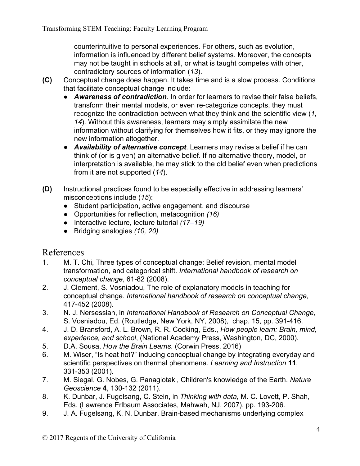counterintuitive to personal experiences. For others, such as evolution, information is influenced by different belief systems. Moreover, the concepts may not be taught in schools at all, or what is taught competes with other, contradictory sources of information (*13*).

- **(C)** Conceptual change does happen. It takes time and is a slow process. Conditions that facilitate conceptual change include:
	- *Awareness of contradiction*. In order for learners to revise their false beliefs, transform their mental models, or even re-categorize concepts, they must recognize the contradiction between what they think and the scientific view (*1, 14*). Without this awareness, learners may simply assimilate the new information without clarifying for themselves how it fits, or they may ignore the new information altogether.
	- *Availability of alternative concept*. Learners may revise a belief if he can think of (or is given) an alternative belief. If no alternative theory, model, or interpretation is available, he may stick to the old belief even when predictions from it are not supported (*14*).
- **(D)** Instructional practices found to be especially effective in addressing learners' misconceptions include (*15*):
	- Student participation, active engagement, and discourse
	- Opportunities for reflection, metacognition *(16)*
	- Interactive lecture, lecture tutorial *(17–19)*
	- Bridging analogies *(10, 20)*

## References

- 1. M. T. Chi, Three types of conceptual change: Belief revision, mental model transformation, and categorical shift. *International handbook of research on conceptual change*, 61-82 (2008).
- 2. J. Clement, S. Vosniadou, The role of explanatory models in teaching for conceptual change. *International handbook of research on conceptual change*, 417-452 (2008).
- 3. N. J. Nersessian, in *International Handbook of Research on Conceptual Change,* S. Vosniadou, Ed. (Routledge, New York, NY, 2008), chap. 15, pp. 391-416.
- 4. J. D. Bransford, A. L. Brown, R. R. Cocking, Eds., *How people learn: Brain, mind, experience, and school*, (National Academy Press, Washington, DC, 2000).
- 5. D.A. Sousa, *How the Brain Learns*. (Corwin Press, 2016)
- 6. M. Wiser, "Is heat hot?" inducing conceptual change by integrating everyday and scientific perspectives on thermal phenomena. *Learning and Instruction* **11**, 331-353 (2001).
- 7. M. Siegal, G. Nobes, G. Panagiotaki, Children's knowledge of the Earth. *Nature Geoscience* **4**, 130-132 (2011).
- 8. K. Dunbar, J. Fugelsang, C. Stein, in *Thinking with data,* M. C. Lovett, P. Shah, Eds. (Lawrence Erlbaum Associates, Mahwah, NJ, 2007), pp. 193-206.
- 9. J. A. Fugelsang, K. N. Dunbar, Brain-based mechanisms underlying complex